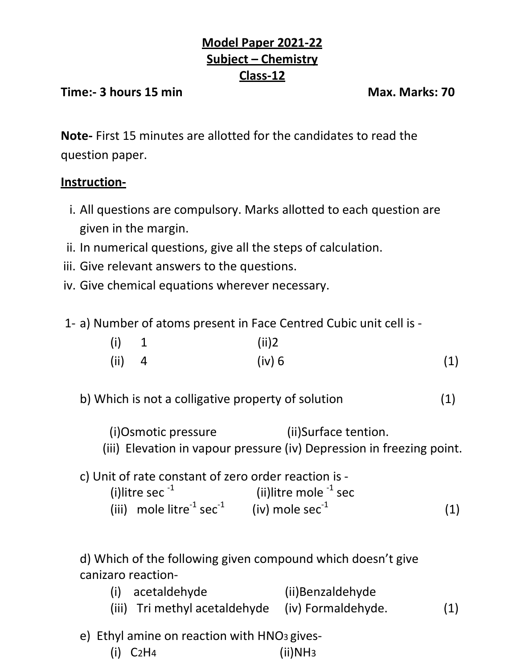## **Model Paper 2021-22 Subject – Chemistry Class-12**

## **Time:- 3 hours 15 min Max. Marks: 70**

**Note-** First 15 minutes are allotted for the candidates to read the question paper.

## **Instruction-**

- i. All questions are compulsory. Marks allotted to each question are given in the margin.
- ii. In numerical questions, give all the steps of calculation.
- iii. Give relevant answers to the questions.
- iv. Give chemical equations wherever necessary.
- 1- a) Number of atoms present in Face Centred Cubic unit cell is -

| (i)      | $\mathbf{1}$ | (ii)2  |     |
|----------|--------------|--------|-----|
| $(ii)$ 4 |              | (iv) 6 | (1) |

- b) Which is not a colligative property of solution (1)
	- (i)Osmotic pressure (ii)Surface tention.
	- (iii) Elevation in vapour pressure (iv) Depression in freezing point.

c) Unit of rate constant of zero order reaction is - (i)litre sec $^{-1}$  (ii)litre mole  $^{-1}$  sec (iii) mole litre<sup>-1</sup> sec<sup>-1</sup> (iv) mole sec<sup>-1</sup> (1)

d) Which of the following given compound which doesn't give canizaro reaction-

- (i) acetaldehyde (ii)Benzaldehyde (iii) Tri methyl acetaldehyde (iv) Formaldehyde. (1)
- e) Ethyl amine on reaction with HNO<sup>3</sup> gives-
	- (i) C2H4 (ii)NH3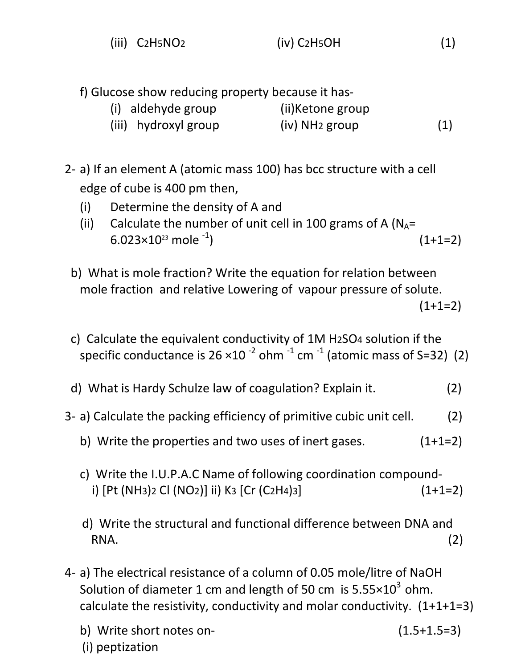| $(iii)$ $C2H5NO2$ | $(iv)$ C <sub>2</sub> H <sub>5</sub> OH | (1) |
|-------------------|-----------------------------------------|-----|
|-------------------|-----------------------------------------|-----|

f) Glucose show reducing property because it has-

| (i) aldehyde group   | (ii)Ketone group           |     |
|----------------------|----------------------------|-----|
| (iii) hydroxyl group | (iv) NH <sub>2</sub> group | (1) |

- 2- a) If an element A (atomic mass 100) has bcc structure with a cell edge of cube is 400 pm then,
	- (i) Determine the density of A and
	- (ii) Calculate the number of unit cell in 100 grams of A  $(N_A=$ 6.023 $\times$ 10<sup>23</sup> mole  $^{-1}$ )  $(1+1=2)$
	- b) What is mole fraction? Write the equation for relation between mole fraction and relative Lowering of vapour pressure of solute.  $(1+1=2)$
	- c) Calculate the equivalent conductivity of 1M H2SO4 solution if the specific conductance is 26  $\times 10^{-2}$  ohm  $^{-1}$  cm  $^{-1}$  (atomic mass of S=32) (2)
	- d) What is Hardy Schulze law of coagulation? Explain it. (2)
- 3- a) Calculate the packing efficiency of primitive cubic unit cell. (2)
	- b) Write the properties and two uses of inert gases.  $(1+1=2)$
	- c) Write the I.U.P.A.C Name of following coordination compound i)  $[Pt (NH3)2 Cl (NO2)]$  ii) K<sub>3</sub>  $[Cr (C_2H4)3]$  (1+1=2)
	- d) Write the structural and functional difference between DNA and  $\mathsf{RNA}.$  (2)
- 4- a) The electrical resistance of a column of 0.05 mole/litre of NaOH Solution of diameter 1 cm and length of 50 cm is  $5.55 \times 10^3$  ohm. calculate the resistivity, conductivity and molar conductivity. (1+1+1=3)
	- b) Write short notes on- (1.5+1.5=3)
		-

(i) peptization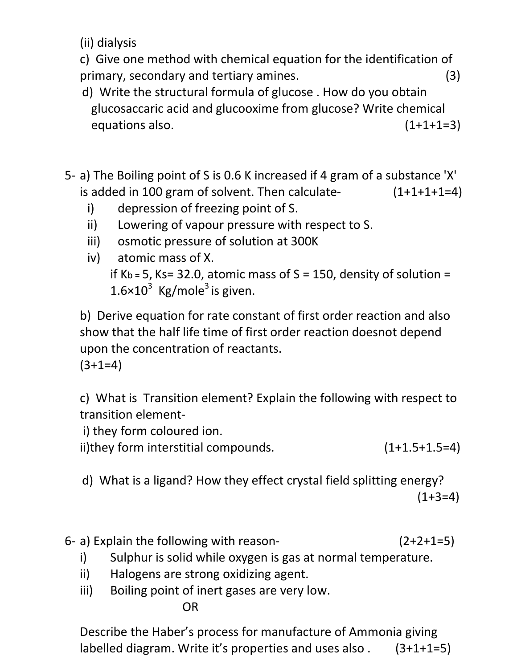(ii) dialysis

c) Give one method with chemical equation for the identification of primary, secondary and tertiary amines. (3)

- d) Write the structural formula of glucose . How do you obtain glucosaccaric acid and glucooxime from glucose? Write chemical equations also. (1+1+1=3)
- 5- a) The Boiling point of S is 0.6 K increased if 4 gram of a substance 'X' is added in 100 gram of solvent. Then calculate- $(1+1+1+1=4)$ 
	- i) depression of freezing point of S.
	- ii) Lowering of vapour pressure with respect to S.
	- iii) osmotic pressure of solution at 300K
	- iv) atomic mass of X. if Kb = 5, Ks= 32.0, atomic mass of  $S = 150$ , density of solution =  $1.6\times10^3$  Kg/mole<sup>3</sup> is given.

b) Derive equation for rate constant of first order reaction and also show that the half life time of first order reaction doesnot depend upon the concentration of reactants.

 $(3+1=4)$ 

c) What is Transition element? Explain the following with respect to transition element-

i) they form coloured ion.

ii)they form interstitial compounds.  $(1+1.5+1.5=4)$ 

- d) What is a ligand? How they effect crystal field splitting energy?  $(1+3=4)$
- 6- a) Explain the following with reason-  $(2+2+1=5)$ 
	- i) Sulphur is solid while oxygen is gas at normal temperature.
	- ii) Halogens are strong oxidizing agent.
	- iii) Boiling point of inert gases are very low.

OR

Describe the Haber's process for manufacture of Ammonia giving labelled diagram. Write it's properties and uses also . (3+1+1=5)